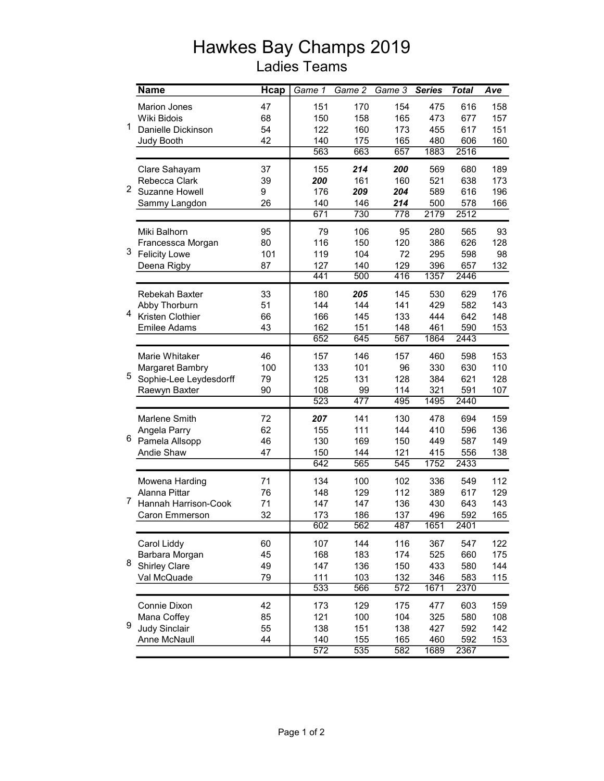## Hawkes Bay Champs 2019 Ladies Teams

|   | <b>Name</b>            | <b>H</b> cap | Game $1$         | Game 2 | Game 3           | <b>Series</b> | <b>Total</b> | Ave |
|---|------------------------|--------------|------------------|--------|------------------|---------------|--------------|-----|
| 1 | <b>Marion Jones</b>    | 47           | 151              | 170    | 154              | 475           | 616          | 158 |
|   | Wiki Bidois            | 68           | 150              | 158    | 165              | 473           | 677          | 157 |
|   | Danielle Dickinson     | 54           | 122              | 160    | 173              | 455           | 617          | 151 |
|   | Judy Booth             | 42           | 140              | 175    | 165              | 480           | 606          | 160 |
|   |                        |              | 563              | 663    | 657              | 1883          | 2516         |     |
| 2 | Clare Sahayam          | 37           | 155              | 214    | 200              | 569           | 680          | 189 |
|   | Rebecca Clark          | 39           | 200              | 161    | 160              | 521           | 638          | 173 |
|   | Suzanne Howell         | 9            | 176              | 209    | 204              | 589           | 616          | 196 |
|   | Sammy Langdon          | 26           | 140              | 146    | 214              | 500           | 578          | 166 |
|   |                        |              | 671              | 730    | 778              | 2179          | 2512         |     |
| 3 | Miki Balhorn           | 95           | 79               | 106    | 95               | 280           | 565          | 93  |
|   | Francessca Morgan      | 80           | 116              | 150    | 120              | 386           | 626          | 128 |
|   | <b>Felicity Lowe</b>   | 101          | 119              | 104    | 72               | 295           | 598          | 98  |
|   | Deena Rigby            | 87           | 127              | 140    | 129              | 396           | 657          | 132 |
|   |                        |              | 441              | 500    | 416              | 1357          | 2446         |     |
|   | Rebekah Baxter         | 33           | 180              | 205    | 145              | 530           | 629          | 176 |
|   | Abby Thorburn          | 51           | 144              | 144    | 141              | 429           | 582          | 143 |
| 4 | Kristen Clothier       | 66           | 166              | 145    | 133              | 444           | 642          | 148 |
|   | <b>Emilee Adams</b>    | 43           | 162              | 151    | 148              | 461           | 590          | 153 |
|   |                        |              | 652              | 645    | 567              | 1864          | 2443         |     |
| 5 | Marie Whitaker         | 46           | 157              | 146    | 157              | 460           | 598          | 153 |
|   | Margaret Bambry        | 100          | 133              | 101    | 96               | 330           | 630          | 110 |
|   | Sophie-Lee Leydesdorff | 79           | 125              | 131    | 128              | 384           | 621          | 128 |
|   | Raewyn Baxter          | 90           | 108              | 99     | 114              | 321           | 591          | 107 |
|   |                        |              | $\overline{523}$ | 477    | 495              | 1495          | 2440         |     |
|   | Marlene Smith          | 72           | 207              | 141    | 130              | 478           | 694          | 159 |
|   | Angela Parry           | 62           | 155              | 111    | 144              | 410           | 596          | 136 |
| 6 | Pamela Allsopp         | 46           | 130              | 169    | 150              | 449           | 587          | 149 |
|   | Andie Shaw             | 47           | 150              | 144    | 121              | 415           | 556          | 138 |
|   |                        |              | 642              | 565    | 545              | 1752          | 2433         |     |
|   | Mowena Harding         | 71           | 134              | 100    | 102              | 336           | 549          | 112 |
|   | Alanna Pittar          | 76           | 148              | 129    | 112              | 389           | 617          | 129 |
| 7 | Hannah Harrison-Cook   | 71           | 147              | 147    | 136              | 430           | 643          | 143 |
|   | Caron Emmerson         | 32           | 173              | 186    | 137              | 496           | 592          | 165 |
|   |                        |              | 602              | 562    | 487              | 1651          | 2401         |     |
|   | Carol Liddy            | 60           | 107              | 144    | 116              | 367           | 547          | 122 |
|   | Barbara Morgan         | 45           | 168              | 183    | 174              | 525           | 660          | 175 |
| 8 | <b>Shirley Clare</b>   | 49           | 147              | 136    | 150              | 433           | 580          | 144 |
|   | Val McQuade            | 79           | 111              | 103    | 132              | 346           | 583          | 115 |
|   |                        |              | 533              | 566    | $\overline{572}$ | 1671          | 2370         |     |
| 9 | Connie Dixon           | 42           | 173              | 129    | 175              | 477           | 603          | 159 |
|   | Mana Coffey            | 85           | 121              | 100    | 104              | 325           | 580          | 108 |
|   | <b>Judy Sinclair</b>   | 55           | 138              | 151    | 138              | 427           | 592          | 142 |
|   | Anne McNaull           | 44           | 140              | 155    | 165              | 460           | 592          | 153 |
|   |                        |              | 572              | 535    | 582              | 1689          | 2367         |     |